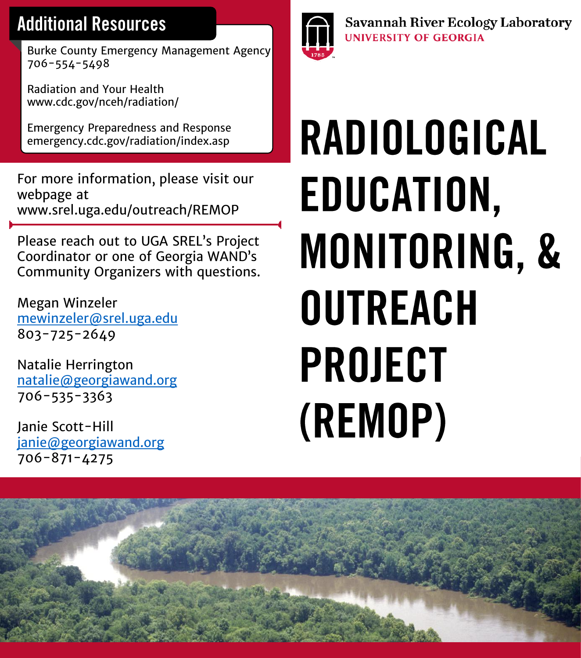## **Additional Resources**

Burke County Emergency Management Agency 706-554-5498

Radiation and Your Health www.cdc.gov/nceh/radiation/

Emergency Preparedness and Response emergency.cdc.gov/radiation/index.asp

For more information, please visit our webpage at www.srel.uga.edu/outreach/REMOP

Please reach out to UGA SREL's Project Coordinator or one of Georgia WAND's Community Organizers with questions.

Megan Winzeler [mewinzeler@srel.uga.edu](mailto:mewinzeler@srel.uga.edu) 803-725-2649

Natalie Herrington [natalie@georgiawand.org](mailto:natalie@georgiawand.org) 706-535-3363

Janie Scott-Hill [janie@georgiawand.org](mailto:janie@georgiawand.org) 706-871-4275



**Savannah River Ecology Laboratory UNIVERSITY OF GEORGIA** 

# **RADIOLOGICAL** EDUCATION, MONITORING, & **OUTREACH PROJECT** (REMOP)